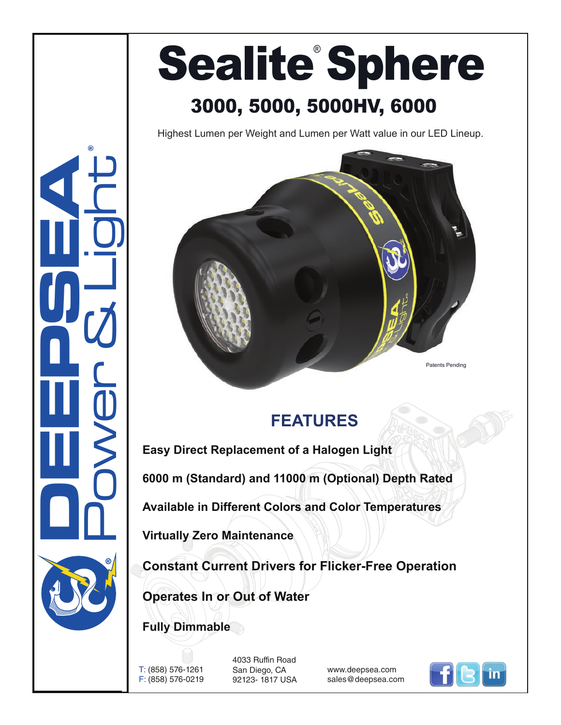## Sealite<sup>®</sup> Sphere 3000, 5000, 5000HV, 6000

Highest Lumen per Weight and Lumen per Watt value in our LED Lineup.



## **FEATURES**

**Easy Direct Replacement of a Halogen Light 6000 m (Standard) and 11000 m (Optional) Depth Rated Available in Different Colors and Color Temperatures Virtually Zero Maintenance Constant Current Drivers for Flicker-Free Operation**

**Operates In or Out of Water**

**Fully Dimmable**

T: (858) 576-1261 F: (858) 576-0219 4033 Ruffin Road San Diego, CA 92123- 1817 USA

www.deepsea.com sales@deepsea.com



**CONSUMERING** Power & Light ®